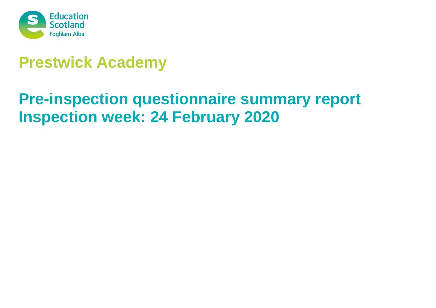

# **Prestwick Academy**

# **Pre-inspection questionnaire summary report Inspection week: 24 February 2020**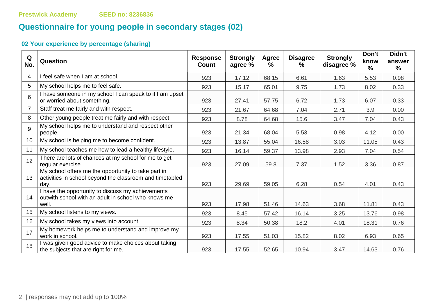# **Questionnaire for young people in secondary stages (02)**

| Q<br>No.        | Question                                                                                                                | <b>Response</b><br>Count | <b>Strongly</b><br>agree % | Agree<br>% | <b>Disagree</b><br>℅ | <b>Strongly</b><br>disagree % | Don't<br>know<br>% | Didn't<br>answer<br>$\frac{9}{6}$ |
|-----------------|-------------------------------------------------------------------------------------------------------------------------|--------------------------|----------------------------|------------|----------------------|-------------------------------|--------------------|-----------------------------------|
| 4               | I feel safe when I am at school.                                                                                        | 923                      | 17.12                      | 68.15      | 6.61                 | 1.63                          | 5.53               | 0.98                              |
| 5               | My school helps me to feel safe.                                                                                        | 923                      | 15.17                      | 65.01      | 9.75                 | 1.73                          | 8.02               | 0.33                              |
| 6               | I have someone in my school I can speak to if I am upset<br>or worried about something.                                 | 923                      | 27.41                      | 57.75      | 6.72                 | 1.73                          | 6.07               | 0.33                              |
| $\overline{7}$  | Staff treat me fairly and with respect.                                                                                 | 923                      | 21.67                      | 64.68      | 7.04                 | 2.71                          | 3.9                | 0.00                              |
| 8               | Other young people treat me fairly and with respect.                                                                    | 923                      | 8.78                       | 64.68      | 15.6                 | 3.47                          | 7.04               | 0.43                              |
| 9               | My school helps me to understand and respect other<br>people.                                                           | 923                      | 21.34                      | 68.04      | 5.53                 | 0.98                          | 4.12               | 0.00                              |
| 10 <sup>°</sup> | My school is helping me to become confident.                                                                            | 923                      | 13.87                      | 55.04      | 16.58                | 3.03                          | 11.05              | 0.43                              |
| 11              | My school teaches me how to lead a healthy lifestyle.                                                                   | 923                      | 16.14                      | 59.37      | 13.98                | 2.93                          | 7.04               | 0.54                              |
| 12 <sup>°</sup> | There are lots of chances at my school for me to get<br>regular exercise.                                               | 923                      | 27.09                      | 59.8       | 7.37                 | 1.52                          | 3.36               | 0.87                              |
| 13              | My school offers me the opportunity to take part in<br>activities in school beyond the classroom and timetabled<br>day. | 923                      | 29.69                      | 59.05      | 6.28                 | 0.54                          | 4.01               | 0.43                              |
| 14              | I have the opportunity to discuss my achievements<br>outwith school with an adult in school who knows me<br>well.       | 923                      | 17.98                      | 51.46      | 14.63                | 3.68                          | 11.81              | 0.43                              |
| 15              | My school listens to my views.                                                                                          | 923                      | 8.45                       | 57.42      | 16.14                | 3.25                          | 13.76              | 0.98                              |
| 16              | My school takes my views into account.                                                                                  | 923                      | 8.34                       | 50.38      | 18.2                 | 4.01                          | 18.31              | 0.76                              |
| 17              | My homework helps me to understand and improve my<br>work in school.                                                    | 923                      | 17.55                      | 51.03      | 15.82                | 8.02                          | 6.93               | 0.65                              |
| 18              | I was given good advice to make choices about taking<br>the subjects that are right for me.                             | 923                      | 17.55                      | 52.65      | 10.94                | 3.47                          | 14.63              | 0.76                              |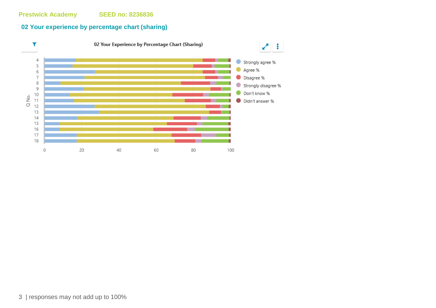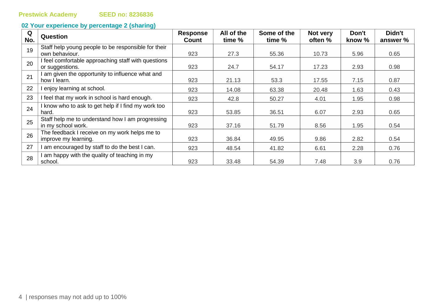| Q<br>No. | <b>Question</b>                                     | <b>Response</b><br>Count | All of the<br>time % | Some of the<br>time % | Not very<br>often % | Don't<br>know % | Didn't<br>answer % |
|----------|-----------------------------------------------------|--------------------------|----------------------|-----------------------|---------------------|-----------------|--------------------|
| 19       | Staff help young people to be responsible for their |                          |                      |                       |                     |                 |                    |
|          | own behaviour.                                      | 923                      | 27.3                 | 55.36                 | 10.73               | 5.96            | 0.65               |
| 20       | I feel comfortable approaching staff with questions |                          |                      |                       |                     |                 |                    |
|          | or suggestions.                                     | 923                      | 24.7                 | 54.17                 | 17.23               | 2.93            | 0.98               |
| 21       | I am given the opportunity to influence what and    |                          |                      |                       |                     |                 |                    |
|          | how I learn.                                        | 923                      | 21.13                | 53.3                  | 17.55               | 7.15            | 0.87               |
| 22       | I enjoy learning at school.                         | 923                      | 14.08                | 63.38                 | 20.48               | 1.63            | 0.43               |
| 23       | I feel that my work in school is hard enough.       | 923                      | 42.8                 | 50.27                 | 4.01                | 1.95            | 0.98               |
| 24       | I know who to ask to get help if I find my work too |                          |                      |                       |                     |                 |                    |
|          | hard.                                               | 923                      | 53.85                | 36.51                 | 6.07                | 2.93            | 0.65               |
| 25       | Staff help me to understand how I am progressing    |                          |                      |                       |                     |                 |                    |
|          | in my school work.                                  | 923                      | 37.16                | 51.79                 | 8.56                | 1.95            | 0.54               |
| 26       | The feedback I receive on my work helps me to       |                          |                      |                       |                     |                 |                    |
|          | improve my learning.                                | 923                      | 36.84                | 49.95                 | 9.86                | 2.82            | 0.54               |
| 27       | I am encouraged by staff to do the best I can.      | 923                      | 48.54                | 41.82                 | 6.61                | 2.28            | 0.76               |
| 28       | I am happy with the quality of teaching in my       |                          |                      |                       |                     |                 |                    |
|          | school.                                             | 923                      | 33.48                | 54.39                 | 7.48                | 3.9             | 0.76               |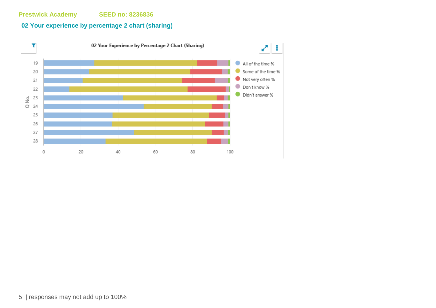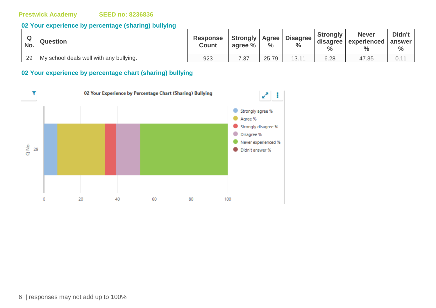#### **02 Your experience by percentage (sharing) bullying**

| No. | <b>Question</b>                         | <b>Response</b><br><b>Count</b> | Strongly   Agree '<br>agree % | $\frac{1}{2}$ | <b>Disagree</b> | <b>Strongly</b><br>disagree<br>$\frac{1}{2}$ | <b>Never</b><br>experienced<br>$\%$ | Didn't<br>answer<br>$\frac{6}{6}$ |
|-----|-----------------------------------------|---------------------------------|-------------------------------|---------------|-----------------|----------------------------------------------|-------------------------------------|-----------------------------------|
| 29  | My school deals well with any bullying. | 923                             | 7 27<br>ن. ا                  | 25.79         | 13.11           | 6.28                                         | 47.35                               | ∪. ı                              |

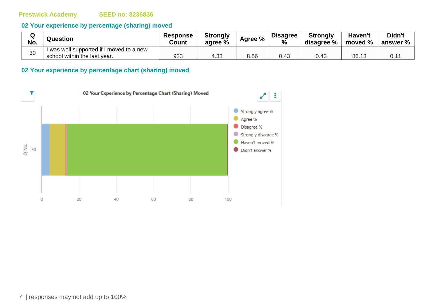#### **02 Your experience by percentage (sharing) moved**

| Q<br>No. | <b>Question</b>                        | <b>Response</b><br>Count | <b>Strongly</b><br>agree % | Agree % | <b>Disagree</b><br>% | <b>Strongly</b><br>disagree % | Haven't<br>moved % | Didn't<br>answer % $\parallel$ |
|----------|----------------------------------------|--------------------------|----------------------------|---------|----------------------|-------------------------------|--------------------|--------------------------------|
| 30       | was well supported if I moved to a new |                          |                            |         |                      |                               |                    |                                |
|          | school within the last year.           | 923                      | 4.32<br>ن 4.3              | 8.56    | 0.43                 | 0.43                          | 86.13              |                                |

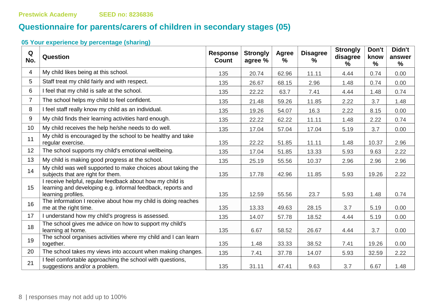# **Questionnaire for parents/carers of children in secondary stages (05)**

| Q<br>No.       | Question                                                                                                                                       | <b>Response</b><br><b>Count</b> | <b>Strongly</b><br>agree % | <b>Agree</b><br>$\frac{9}{6}$ | <b>Disagree</b><br>$\frac{9}{6}$ | <b>Strongly</b><br>disagree<br>℅ | Don't<br>know<br>$\frac{9}{6}$ | Didn't<br>answer<br>$\frac{0}{0}$ |
|----------------|------------------------------------------------------------------------------------------------------------------------------------------------|---------------------------------|----------------------------|-------------------------------|----------------------------------|----------------------------------|--------------------------------|-----------------------------------|
| 4              | My child likes being at this school.                                                                                                           | 135                             | 20.74                      | 62.96                         | 11.11                            | 4.44                             | 0.74                           | 0.00                              |
| 5              | Staff treat my child fairly and with respect.                                                                                                  | 135                             | 26.67                      | 68.15                         | 2.96                             | 1.48                             | 0.74                           | 0.00                              |
| 6              | I feel that my child is safe at the school.                                                                                                    | 135                             | 22.22                      | 63.7                          | 7.41                             | 4.44                             | 1.48                           | 0.74                              |
| $\overline{7}$ | The school helps my child to feel confident.                                                                                                   | 135                             | 21.48                      | 59.26                         | 11.85                            | 2.22                             | 3.7                            | 1.48                              |
| 8              | I feel staff really know my child as an individual.                                                                                            | 135                             | 19.26                      | 54.07                         | 16.3                             | 2.22                             | 8.15                           | 0.00                              |
| 9              | My child finds their learning activities hard enough.                                                                                          | 135                             | 22.22                      | 62.22                         | 11.11                            | 1.48                             | 2.22                           | 0.74                              |
| 10             | My child receives the help he/she needs to do well.                                                                                            | 135                             | 17.04                      | 57.04                         | 17.04                            | 5.19                             | 3.7                            | 0.00                              |
| 11             | My child is encouraged by the school to be healthy and take<br>regular exercise.                                                               | 135                             | 22.22                      | 51.85                         | 11.11                            | 1.48                             | 10.37                          | 2.96                              |
| 12             | The school supports my child's emotional wellbeing.                                                                                            | 135                             | 17.04                      | 51.85                         | 13.33                            | 5.93                             | 9.63                           | 2.22                              |
| 13             | My child is making good progress at the school.                                                                                                | 135                             | 25.19                      | 55.56                         | 10.37                            | 2.96                             | 2.96                           | 2.96                              |
| 14             | My child was well supported to make choices about taking the<br>subjects that are right for them.                                              | 135                             | 17.78                      | 42.96                         | 11.85                            | 5.93                             | 19.26                          | 2.22                              |
| 15             | I receive helpful, regular feedback about how my child is<br>learning and developing e.g. informal feedback, reports and<br>learning profiles. | 135                             | 12.59                      | 55.56                         | 23.7                             | 5.93                             | 1.48                           | 0.74                              |
| 16             | The information I receive about how my child is doing reaches<br>me at the right time.                                                         | 135                             | 13.33                      | 49.63                         | 28.15                            | 3.7                              | 5.19                           | 0.00                              |
| 17             | I understand how my child's progress is assessed.                                                                                              | 135                             | 14.07                      | 57.78                         | 18.52                            | 4.44                             | 5.19                           | 0.00                              |
| 18             | The school gives me advice on how to support my child's<br>learning at home.                                                                   | 135                             | 6.67                       | 58.52                         | 26.67                            | 4.44                             | 3.7                            | 0.00                              |
| 19             | The school organises activities where my child and I can learn<br>together.                                                                    | 135                             | 1.48                       | 33.33                         | 38.52                            | 7.41                             | 19.26                          | 0.00                              |
| 20             | The school takes my views into account when making changes.                                                                                    | 135                             | 7.41                       | 37.78                         | 14.07                            | 5.93                             | 32.59                          | 2.22                              |
| 21             | I feel comfortable approaching the school with questions,<br>suggestions and/or a problem.                                                     | 135                             | 31.11                      | 47.41                         | 9.63                             | 3.7                              | 6.67                           | 1.48                              |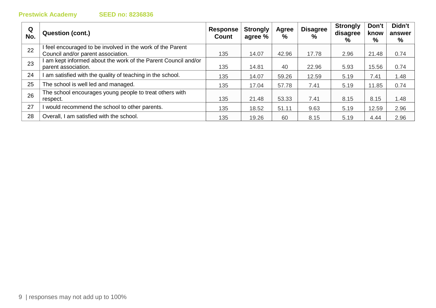# **Prestwick Academy**

|  | <b>SEED no: 8236836</b> |
|--|-------------------------|
|  |                         |

| Q<br>No. | <b>Question (cont.)</b>                                      | <b>Response</b><br>Count | <b>Strongly</b><br>agree % | <b>Agree</b><br>% | <b>Disagree</b><br>$\%$ | <b>Strongly</b><br>disagree<br>% | Don't<br>know<br>% | Didn't<br>answer<br>% |
|----------|--------------------------------------------------------------|--------------------------|----------------------------|-------------------|-------------------------|----------------------------------|--------------------|-----------------------|
| 22       | feel encouraged to be involved in the work of the Parent     |                          |                            |                   |                         |                                  |                    |                       |
|          | Council and/or parent association.                           | 135                      | 14.07                      | 42.96             | 17.78                   | 2.96                             | 21.48              | 0.74                  |
| 23       | am kept informed about the work of the Parent Council and/or |                          |                            |                   |                         |                                  |                    |                       |
|          | parent association.                                          | 135                      | 14.81                      | 40                | 22.96                   | 5.93                             | 15.56              | 0.74                  |
| 24       | am satisfied with the quality of teaching in the school.     | 135                      | 14.07                      | 59.26             | 12.59                   | 5.19                             | 7.41               | 1.48                  |
| 25       | The school is well led and managed.                          | 135                      | 17.04                      | 57.78             | 7.41                    | 5.19                             | 11.85              | 0.74                  |
|          | The school encourages young people to treat others with      |                          |                            |                   |                         |                                  |                    |                       |
| 26       | respect.                                                     | 135                      | 21.48                      | 53.33             | 7.41                    | 8.15                             | 8.15               | 1.48                  |
| 27       | would recommend the school to other parents.                 | 135                      | 18.52                      | 51.11             | 9.63                    | 5.19                             | 12.59              | 2.96                  |
| 28       | Overall, I am satisfied with the school.                     | 135                      | 19.26                      | 60                | 8.15                    | 5.19                             | 4.44               | 2.96                  |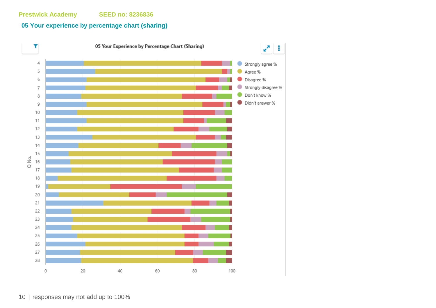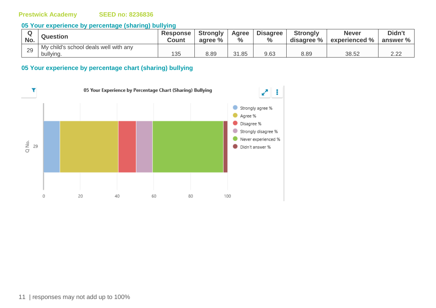#### **05 Your experience by percentage (sharing) bullying**

| No. | <b>Question</b>                                    | <b>Response</b><br><b>Count</b> | <b>Strongly</b><br>agree % | Agree<br>$\%$ | <b>Disagree</b><br>$\frac{0}{0}$ | <b>Strongly</b><br>disagree % | <b>Never</b><br>experienced % | Didn't<br>answer % |
|-----|----------------------------------------------------|---------------------------------|----------------------------|---------------|----------------------------------|-------------------------------|-------------------------------|--------------------|
| 29  | My child's school deals well with any<br>bullying. | 135                             | 8.89                       | 31.85         | 9.63                             | 8.89                          | 38.52                         | ה ה<br>L.LL        |

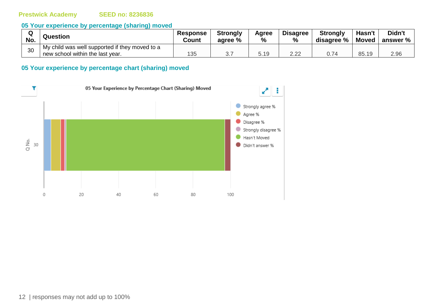#### **05 Your experience by percentage (sharing) moved**

| No. | Question                                                                           | <b>Response</b><br>Count | <b>Strongly</b><br>agree % | Agree<br>$\%$ | <b>Disagree</b><br>$\frac{0}{0}$ | <b>Strongly</b><br>disagree % | Hasn't<br>Moved | Didn't<br>answer % |
|-----|------------------------------------------------------------------------------------|--------------------------|----------------------------|---------------|----------------------------------|-------------------------------|-----------------|--------------------|
| 30  | My child was well supported if they moved to a<br>new school within the last year. | 25                       |                            | 5.19          | 2.22                             |                               | 85.19           | 2.96               |
|     |                                                                                    | - Ju                     | ັ.                         |               |                                  |                               |                 |                    |

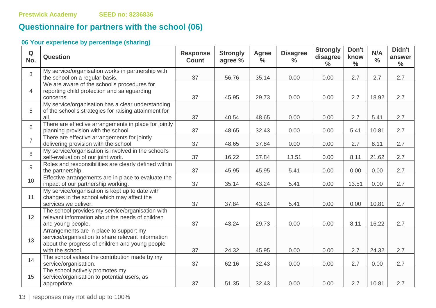# **Questionnaire for partners with the school (06)**

# **06 Your experience by percentage (sharing)**

| $\mathbf Q$<br>No. | <b>Question</b>                                                                                                                                                      | <b>Response</b><br><b>Count</b> | <b>Strongly</b><br>agree % | <b>Agree</b><br>$\frac{6}{6}$ | <b>Disagree</b><br>$\frac{0}{0}$ | <b>Strongly</b><br>disagree<br>$\frac{0}{0}$ | Don't<br>know<br>$\frac{0}{0}$ | N/A<br>$\frac{0}{0}$ | Didn't<br>answer<br>$\frac{0}{0}$ |
|--------------------|----------------------------------------------------------------------------------------------------------------------------------------------------------------------|---------------------------------|----------------------------|-------------------------------|----------------------------------|----------------------------------------------|--------------------------------|----------------------|-----------------------------------|
| 3                  | My service/organisation works in partnership with<br>the school on a regular basis.                                                                                  | 37                              | 56.76                      | 35.14                         | 0.00                             | 0.00                                         | 2.7                            | 2.7                  | 2.7                               |
| $\overline{4}$     | We are aware of the school's procedures for<br>reporting child protection and safeguarding<br>concerns.                                                              | 37                              | 45.95                      | 29.73                         | 0.00                             | 0.00                                         | 2.7                            | 18.92                | 2.7                               |
| 5                  | My service/organisation has a clear understanding<br>of the school's strategies for raising attainment for<br>all.                                                   | 37                              | 40.54                      | 48.65                         | 0.00                             | 0.00                                         | 2.7                            | 5.41                 | 2.7                               |
| 6                  | There are effective arrangements in place for jointly<br>planning provision with the school.                                                                         | 37                              | 48.65                      | 32.43                         | 0.00                             | 0.00                                         | 5.41                           | 10.81                | 2.7                               |
| $\overline{7}$     | There are effective arrangements for jointly<br>delivering provision with the school.                                                                                | 37                              | 48.65                      | 37.84                         | 0.00                             | 0.00                                         | 2.7                            | 8.11                 | 2.7                               |
| 8                  | My service/organisation is involved in the school's<br>self-evaluation of our joint work.                                                                            | 37                              | 16.22                      | 37.84                         | 13.51                            | 0.00                                         | 8.11                           | 21.62                | 2.7                               |
| 9                  | Roles and responsibilities are clearly defined within<br>the partnership.                                                                                            | 37                              | 45.95                      | 45.95                         | 5.41                             | 0.00                                         | 0.00                           | 0.00                 | 2.7                               |
| 10                 | Effective arrangements are in place to evaluate the<br>impact of our partnership working.                                                                            | 37                              | 35.14                      | 43.24                         | 5.41                             | 0.00                                         | 13.51                          | 0.00                 | 2.7                               |
| 11                 | My service/organisation is kept up to date with<br>changes in the school which may affect the<br>services we deliver.                                                | 37                              | 37.84                      | 43.24                         | 5.41                             | 0.00                                         | 0.00                           | 10.81                | 2.7                               |
| 12                 | The school provides my service/organisation with<br>relevant information about the needs of children<br>and young people.                                            | 37                              | 43.24                      | 29.73                         | 0.00                             | 0.00                                         | 8.11                           | 16.22                | 2.7                               |
| 13                 | Arrangements are in place to support my<br>service/organisation to share relevant information<br>about the progress of children and young people<br>with the school. | 37                              | 24.32                      | 45.95                         | 0.00                             | 0.00                                         | 2.7                            | 24.32                | 2.7                               |
| 14                 | The school values the contribution made by my<br>service/organisation.                                                                                               | 37                              | 62.16                      | 32.43                         | 0.00                             | 0.00                                         | 2.7                            | 0.00                 | 2.7                               |
| 15                 | The school actively promotes my<br>service/organisation to potential users, as<br>appropriate.                                                                       | 37                              | 51.35                      | 32.43                         | 0.00                             | 0.00                                         | 2.7                            | 10.81                | 2.7                               |

13 | responses may not add up to 100%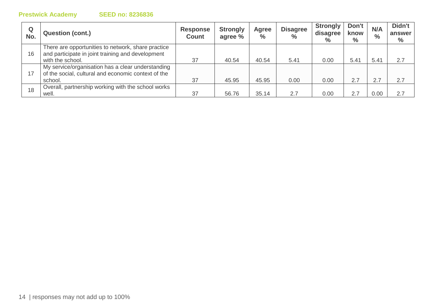| Q<br>No. | <b>Question (cont.)</b>                                                                                                     | <b>Response</b><br><b>Count</b> | <b>Strongly</b><br>agree % | Agree<br>$\frac{0}{0}$ | <b>Disagree</b><br>$\%$ | <b>Strongly</b><br>disagree<br>$\%$ | Don't<br>know<br>$\%$ | N/A<br>$\frac{1}{2}$ | Didn't<br>answer<br>$\%$ |
|----------|-----------------------------------------------------------------------------------------------------------------------------|---------------------------------|----------------------------|------------------------|-------------------------|-------------------------------------|-----------------------|----------------------|--------------------------|
| 16       | There are opportunities to network, share practice<br>and participate in joint training and development<br>with the school. | 37                              | 40.54                      | 40.54                  | 5.41                    | 0.00                                | 5.41                  | 5.41                 | 2.7                      |
| 17       | My service/organisation has a clear understanding<br>of the social, cultural and economic context of the<br>school.         | 37                              | 45.95                      | 45.95                  | 0.00                    | 0.00                                | 2.7                   | 2.7                  | 2.7                      |
| 18       | Overall, partnership working with the school works<br>well.                                                                 | 37                              | 56.76                      | 35.14                  | 2.7                     | 0.00                                |                       | 0.00                 | 2.7                      |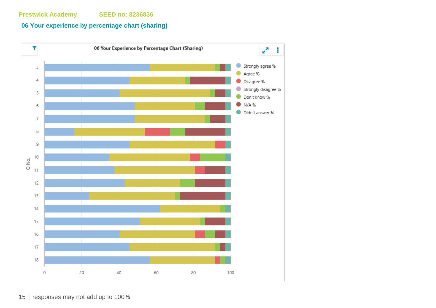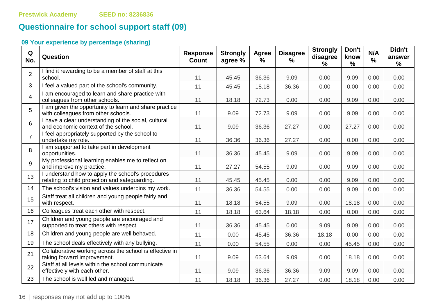# **Questionnaire for school support staff (09)**

| Q<br>No.       | Question                                                                                            | <b>Response</b><br><b>Count</b> | <b>Strongly</b><br>agree % | Agree<br>% | <b>Disagree</b><br>% | <b>Strongly</b><br>disagree<br>% | Don't<br>know<br>$\frac{0}{0}$ | N/A<br>$\%$ | Didn't<br>answer<br>$\%$ |
|----------------|-----------------------------------------------------------------------------------------------------|---------------------------------|----------------------------|------------|----------------------|----------------------------------|--------------------------------|-------------|--------------------------|
| $\overline{2}$ | I find it rewarding to be a member of staff at this<br>school.                                      | 11                              | 45.45                      | 36.36      | 9.09                 | 0.00                             | 9.09                           | 0.00        | 0.00                     |
| 3              | I feel a valued part of the school's community.                                                     | 11                              | 45.45                      | 18.18      | 36.36                | 0.00                             | 0.00                           | 0.00        | 0.00                     |
| $\overline{4}$ | I am encouraged to learn and share practice with<br>colleagues from other schools.                  | 11                              | 18.18                      | 72.73      | 0.00                 | 0.00                             | 9.09                           | 0.00        | 0.00                     |
| 5              | I am given the opportunity to learn and share practice<br>with colleagues from other schools.       | 11                              | 9.09                       | 72.73      | 9.09                 | 0.00                             | 9.09                           | 0.00        | 0.00                     |
| 6              | I have a clear understanding of the social, cultural<br>and economic context of the school.         | 11                              | 9.09                       | 36.36      | 27.27                | 0.00                             | 27.27                          | 0.00        | 0.00                     |
| $\overline{7}$ | I feel appropriately supported by the school to<br>undertake my role.                               | 11                              | 36.36                      | 36.36      | 27.27                | 0.00                             | 0.00                           | 0.00        | 0.00                     |
| 8              | I am supported to take part in development<br>opportunities.                                        | 11                              | 36.36                      | 45.45      | 9.09                 | 0.00                             | 9.09                           | 0.00        | 0.00                     |
| 9              | My professional learning enables me to reflect on<br>and improve my practice.                       | 11                              | 27.27                      | 54.55      | 9.09                 | 0.00                             | 9.09                           | 0.00        | 0.00                     |
| 13             | I understand how to apply the school's procedures<br>relating to child protection and safeguarding. | 11                              | 45.45                      | 45.45      | 0.00                 | 0.00                             | 9.09                           | 0.00        | 0.00                     |
| 14             | The school's vision and values underpins my work.                                                   | 11                              | 36.36                      | 54.55      | 0.00                 | 0.00                             | 9.09                           | 0.00        | 0.00                     |
| 15             | Staff treat all children and young people fairly and<br>with respect.                               | 11                              | 18.18                      | 54.55      | 9.09                 | 0.00                             | 18.18                          | 0.00        | 0.00                     |
| 16             | Colleagues treat each other with respect.                                                           | 11                              | 18.18                      | 63.64      | 18.18                | 0.00                             | 0.00                           | 0.00        | 0.00                     |
| 17             | Children and young people are encouraged and<br>supported to treat others with respect.             | 11                              | 36.36                      | 45.45      | 0.00                 | 9.09                             | 9.09                           | 0.00        | 0.00                     |
| 18             | Children and young people are well behaved.                                                         | 11                              | 0.00                       | 45.45      | 36.36                | 18.18                            | 0.00                           | 0.00        | 0.00                     |
| 19             | The school deals effectively with any bullying.                                                     | 11                              | 0.00                       | 54.55      | 0.00                 | 0.00                             | 45.45                          | 0.00        | 0.00                     |
| 21             | Collaborative working across the school is effective in<br>taking forward improvement.              | 11                              | 9.09                       | 63.64      | 9.09                 | 0.00                             | 18.18                          | 0.00        | 0.00                     |
| 22             | Staff at all levels within the school communicate<br>effectively with each other.                   | 11                              | 9.09                       | 36.36      | 36.36                | 9.09                             | 9.09                           | 0.00        | 0.00                     |
| 23             | The school is well led and managed.                                                                 | 11                              | 18.18                      | 36.36      | 27.27                | 0.00                             | 18.18                          | 0.00        | 0.00                     |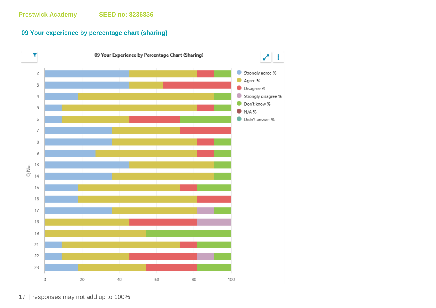#### **09 Your experience by percentage chart (sharing)**



17 | responses may not add up to 100%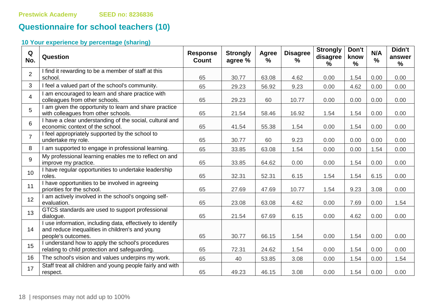# **Questionnaire for school teachers (10)**

| Q<br>No.        | Question                                                                                                                            | <b>Response</b><br><b>Count</b> | <b>Strongly</b><br>agree % | Agree<br>$\frac{0}{0}$ | <b>Disagree</b><br>$\frac{9}{6}$ | <b>Strongly</b><br>disagree<br>$\%$ | Don't<br>know<br>$\frac{9}{6}$ | N/A<br>$\frac{0}{0}$ | Didn't<br>answer<br>% |
|-----------------|-------------------------------------------------------------------------------------------------------------------------------------|---------------------------------|----------------------------|------------------------|----------------------------------|-------------------------------------|--------------------------------|----------------------|-----------------------|
| $\overline{2}$  | I find it rewarding to be a member of staff at this<br>school.                                                                      | 65                              | 30.77                      | 63.08                  | 4.62                             | 0.00                                | 1.54                           | 0.00                 | 0.00                  |
| $\mathbf{3}$    | I feel a valued part of the school's community.                                                                                     | 65                              | 29.23                      | 56.92                  | 9.23                             | 0.00                                | 4.62                           | 0.00                 | 0.00                  |
| $\overline{4}$  | I am encouraged to learn and share practice with<br>colleagues from other schools.                                                  | 65                              | 29.23                      | 60                     | 10.77                            | 0.00                                | 0.00                           | 0.00                 | 0.00                  |
| 5               | I am given the opportunity to learn and share practice<br>with colleagues from other schools.                                       | 65                              | 21.54                      | 58.46                  | 16.92                            | 1.54                                | 1.54                           | 0.00                 | 0.00                  |
| $6\phantom{1}$  | I have a clear understanding of the social, cultural and<br>economic context of the school.                                         | 65                              | 41.54                      | 55.38                  | 1.54                             | 0.00                                | 1.54                           | 0.00                 | 0.00                  |
| $\overline{7}$  | I feel appropriately supported by the school to<br>undertake my role.                                                               | 65                              | 30.77                      | 60                     | 9.23                             | 0.00                                | 0.00                           | 0.00                 | 0.00                  |
| 8               | I am supported to engage in professional learning.                                                                                  | 65                              | 33.85                      | 63.08                  | 1.54                             | 0.00                                | 0.00                           | 1.54                 | 0.00                  |
| 9               | My professional learning enables me to reflect on and<br>improve my practice.                                                       | 65                              | 33.85                      | 64.62                  | 0.00                             | 0.00                                | 1.54                           | 0.00                 | 0.00                  |
| 10 <sup>1</sup> | I have regular opportunities to undertake leadership<br>roles.                                                                      | 65                              | 32.31                      | 52.31                  | 6.15                             | 1.54                                | 1.54                           | 6.15                 | 0.00                  |
| 11              | I have opportunities to be involved in agreeing<br>priorities for the school.                                                       | 65                              | 27.69                      | 47.69                  | 10.77                            | 1.54                                | 9.23                           | 3.08                 | 0.00                  |
| 12              | I am actively involved in the school's ongoing self-<br>evaluation.                                                                 | 65                              | 23.08                      | 63.08                  | 4.62                             | 0.00                                | 7.69                           | 0.00                 | 1.54                  |
| 13              | GTCS standards are used to support professional<br>dialogue.                                                                        | 65                              | 21.54                      | 67.69                  | 6.15                             | 0.00                                | 4.62                           | 0.00                 | 0.00                  |
| 14              | I use information, including data, effectively to identify<br>and reduce inequalities in children's and young<br>people's outcomes. | 65                              | 30.77                      | 66.15                  | 1.54                             | 0.00                                | 1.54                           | 0.00                 | 0.00                  |
| 15              | I understand how to apply the school's procedures<br>relating to child protection and safeguarding.                                 | 65                              | 72.31                      | 24.62                  | 1.54                             | 0.00                                | 1.54                           | 0.00                 | 0.00                  |
| 16              | The school's vision and values underpins my work.                                                                                   | 65                              | 40                         | 53.85                  | 3.08                             | 0.00                                | 1.54                           | 0.00                 | 1.54                  |
| 17              | Staff treat all children and young people fairly and with<br>respect.                                                               | 65                              | 49.23                      | 46.15                  | 3.08                             | 0.00                                | 1.54                           | 0.00                 | 0.00                  |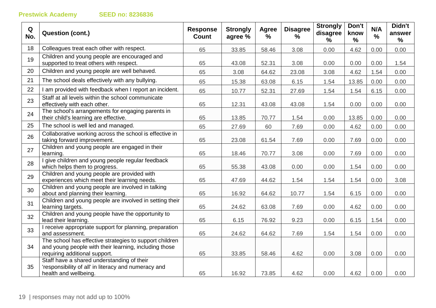| Q<br>No. | <b>Question (cont.)</b>                                                                                                                           | <b>Response</b><br><b>Count</b> | <b>Strongly</b><br>agree % | Agree<br>$\frac{9}{6}$ | <b>Disagree</b><br>% | <b>Strongly</b><br>disagree<br>℅ | Don't<br>know<br>% | N/A<br>$\frac{1}{2}$ | Didn't<br>answer<br>% |
|----------|---------------------------------------------------------------------------------------------------------------------------------------------------|---------------------------------|----------------------------|------------------------|----------------------|----------------------------------|--------------------|----------------------|-----------------------|
| 18       | Colleagues treat each other with respect.                                                                                                         | 65                              | 33.85                      | 58.46                  | 3.08                 | 0.00                             | 4.62               | 0.00                 | 0.00                  |
| 19       | Children and young people are encouraged and<br>supported to treat others with respect.                                                           | 65                              | 43.08                      | 52.31                  | 3.08                 | 0.00                             | 0.00               | 0.00                 | 1.54                  |
| 20       | Children and young people are well behaved.                                                                                                       | 65                              | 3.08                       | 64.62                  | 23.08                | 3.08                             | 4.62               | 1.54                 | 0.00                  |
| 21       | The school deals effectively with any bullying.                                                                                                   | 65                              | 15.38                      | 63.08                  | 6.15                 | 1.54                             | 13.85              | 0.00                 | 0.00                  |
| 22       | I am provided with feedback when I report an incident.                                                                                            | 65                              | 10.77                      | 52.31                  | 27.69                | 1.54                             | 1.54               | 6.15                 | 0.00                  |
| 23       | Staff at all levels within the school communicate<br>effectively with each other.                                                                 | 65                              | 12.31                      | 43.08                  | 43.08                | 1.54                             | 0.00               | 0.00                 | 0.00                  |
| 24       | The school's arrangements for engaging parents in<br>their child's learning are effective.                                                        | 65                              | 13.85                      | 70.77                  | 1.54                 | 0.00                             | 13.85              | 0.00                 | 0.00                  |
| 25       | The school is well led and managed.                                                                                                               | 65                              | 27.69                      | 60                     | 7.69                 | 0.00                             | 4.62               | 0.00                 | 0.00                  |
| 26       | Collaborative working across the school is effective in<br>taking forward improvement.                                                            | 65                              | 23.08                      | 61.54                  | 7.69                 | 0.00                             | 7.69               | 0.00                 | 0.00                  |
| 27       | Children and young people are engaged in their<br>learning.                                                                                       | 65                              | 18.46                      | 70.77                  | 3.08                 | 0.00                             | 7.69               | 0.00                 | 0.00                  |
| 28       | I give children and young people regular feedback<br>which helps them to progress.                                                                | 65                              | 55.38                      | 43.08                  | 0.00                 | 0.00                             | 1.54               | 0.00                 | 0.00                  |
| 29       | Children and young people are provided with<br>experiences which meet their learning needs.                                                       | 65                              | 47.69                      | 44.62                  | 1.54                 | 1.54                             | 1.54               | 0.00                 | 3.08                  |
| 30       | Children and young people are involved in talking<br>about and planning their learning.                                                           | 65                              | 16.92                      | 64.62                  | 10.77                | 1.54                             | 6.15               | 0.00                 | 0.00                  |
| 31       | Children and young people are involved in setting their<br>learning targets.                                                                      | 65                              | 24.62                      | 63.08                  | 7.69                 | 0.00                             | 4.62               | 0.00                 | 0.00                  |
| 32       | Children and young people have the opportunity to<br>lead their learning.                                                                         | 65                              | 6.15                       | 76.92                  | 9.23                 | 0.00                             | 6.15               | 1.54                 | 0.00                  |
| 33       | I receive appropriate support for planning, preparation<br>and assessment.                                                                        | 65                              | 24.62                      | 64.62                  | 7.69                 | 1.54                             | 1.54               | 0.00                 | 0.00                  |
| 34       | The school has effective strategies to support children<br>and young people with their learning, including those<br>requiring additional support. | 65                              | 33.85                      | 58.46                  | 4.62                 | 0.00                             | 3.08               | 0.00                 | 0.00                  |
| 35       | Staff have a shared understanding of their<br>'responsibility of all' in literacy and numeracy and<br>health and wellbeing.                       | 65                              | 16.92                      | 73.85                  | 4.62                 | 0.00                             | 4.62               | 0.00                 | 0.00                  |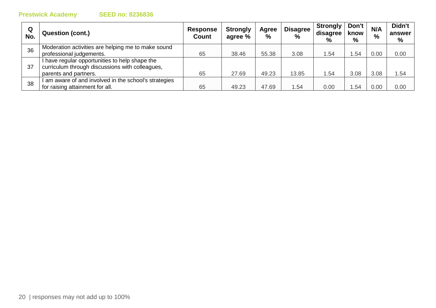| Q<br>No. | <b>Question (cont.)</b>                                                                                                    | <b>Response</b><br><b>Count</b> | <b>Strongly</b><br>agree % | Agree<br>$\frac{0}{0}$ | <b>Disagree</b><br>$\frac{0}{0}$ | <b>Strongly</b><br>disagree<br>$\%$ | Don't<br>know<br>$\%$ | N/A<br>% | Didn't<br>answer<br>% |
|----------|----------------------------------------------------------------------------------------------------------------------------|---------------------------------|----------------------------|------------------------|----------------------------------|-------------------------------------|-----------------------|----------|-----------------------|
| 36       | Moderation activities are helping me to make sound<br>professional judgements.                                             | 65                              | 38.46                      | 55.38                  | 3.08                             | .54                                 | .54                   | 0.00     | 0.00                  |
| 37       | I have regular opportunities to help shape the<br>curriculum through discussions with colleagues,<br>parents and partners. | 65                              | 27.69                      | 49.23                  | 13.85                            | .54                                 | 3.08                  | 3.08     | 1.54                  |
| 38       | am aware of and involved in the school's strategies<br>for raising attainment for all.                                     | 65                              | 49.23                      | 47.69                  | .54                              | 0.00                                | .54                   | 0.00     | 0.00                  |